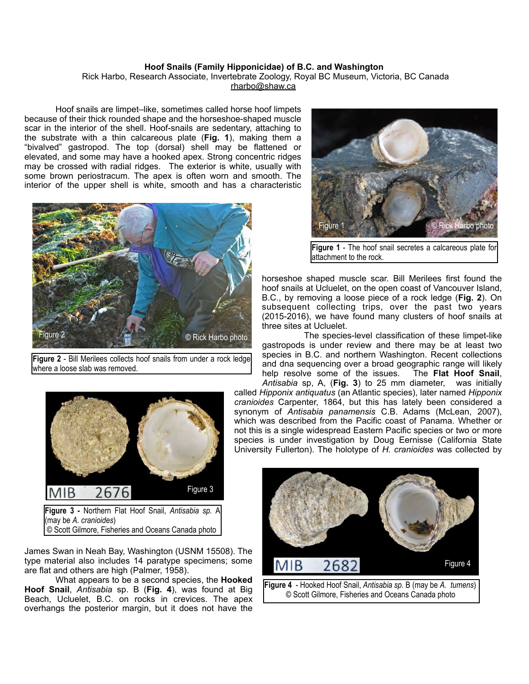## **Hoof Snails (Family Hipponicidae) of B.C. and Washington**

 Rick Harbo, Research Associate, Invertebrate Zoology, Royal BC Museum, Victoria, BC Canada [rharbo@shaw.ca](mailto:rharbo@shaw.ca)

 Hoof snails are limpet–like, sometimes called horse hoof limpets because of their thick rounded shape and the horseshoe-shaped muscle scar in the interior of the shell. Hoof-snails are sedentary, attaching to the substrate with a thin calcareous plate (**Fig. 1**), making them a "bivalved" gastropod. The top (dorsal) shell may be flattened or elevated, and some may have a hooked apex. Strong concentric ridges may be crossed with radial ridges. The exterior is white, usually with some brown periostracum. The apex is often worn and smooth. The interior of the upper shell is white, smooth and has a characteristic



**Figure 2** - Bill Merilees collects hoof snails from under a rock ledge where a loose slab was removed.



(may be *A. cranioides*)  *©* Scott Gilmore, Fisheries and Oceans Canada photo

James Swan in Neah Bay, Washington (USNM 15508). The type material also includes 14 paratype specimens; some are flat and others are high (Palmer, 1958).

 What appears to be a second species, the **Hooked Hoof Snail**, *Antisabia* sp. B (**Fig. 4**), was found at Big Beach, Ucluelet, B.C. on rocks in crevices. The apex overhangs the posterior margin, but it does not have the



**Figure 1** - The hoof snail secretes a calcareous plate for attachment to the rock.

horseshoe shaped muscle scar. Bill Merilees first found the hoof snails at Ucluelet, on the open coast of Vancouver Island, B.C., by removing a loose piece of a rock ledge (**Fig. 2**). On subsequent collecting trips, over the past two years (2015-2016), we have found many clusters of hoof snails at three sites at Ucluelet.

 The species-level classification of these limpet-like gastropods is under review and there may be at least two species in B.C. and northern Washington. Recent collections and dna sequencing over a broad geographic range will likely help resolve some of the issues. The **Flat Hoof Snail**, *Antisabia* sp, A, (**Fig. 3**) to 25 mm diameter, was initially

called *Hipponix antiquatus* (an Atlantic species), later named *Hipponix cranioides* Carpenter, 1864, but this has lately been considered a synonym of *Antisabia panamensis* C.B. Adams (McLean, 2007), which was described from the Pacific coast of Panama. Whether or not this is a single widespread Eastern Pacific species or two or more species is under investigation by Doug Eernisse (California State University Fullerton). The holotype of *H. cranioides* was collected by